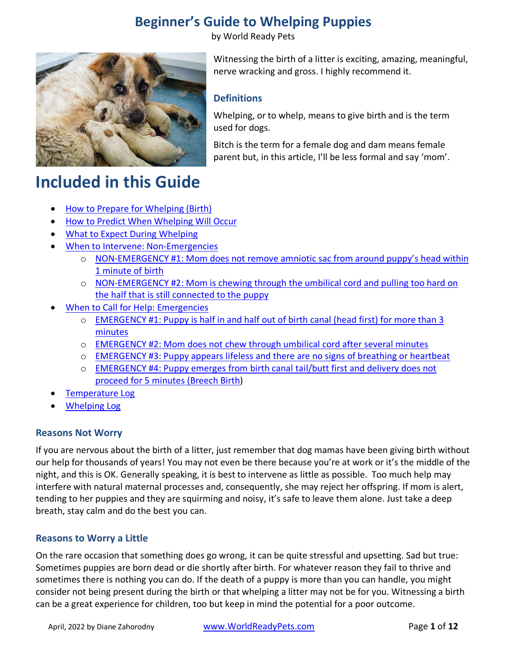by World Ready Pets



Witnessing the birth of a litter is exciting, amazing, meaningful, nerve wracking and gross. I highly recommend it.

### **Definitions**

Whelping, or to whelp, means to give birth and is the term used for dogs.

Bitch is the term for a female dog and dam means female parent but, in this article, I'll be less formal and say 'mom'.

# **Included in this Guide**

- [How to Prepare for Whelping \(Birth\)](#page-1-0)
- [How to Predict When Whelping Will Occur](#page-2-0)
- [What to Expect During Whelping](#page-3-0)
- [When to Intervene: Non-Emergencies](#page-5-0)
	- o [NON-EMERGENCY #1: Mom does not remove amniotic sac from around puppy's head within](#page-5-0)  [1 minute of birth](#page-5-0)
	- o [NON-EMERGENCY #2: Mom is chewing through the umbilical cord and pulling too hard on](#page-6-0)  [the half that is still connected to the puppy](#page-6-0)
- [When to Call for Help: Emergencies](#page-6-1)
	- o [EMERGENCY #1: Puppy is half in and half out of birth canal \(head first\) for more than 3](#page-6-2)  [minutes](#page-6-2)
	- o [EMERGENCY #2: Mom does not chew through umbilical cord after several minutes](#page-7-0)
	- o [EMERGENCY #3: Puppy appears lifeless and there are no signs of breathing or heartbeat](#page-7-1)
	- o [EMERGENCY #4: Puppy emerges from birth canal tail/butt first and delivery does not](#page-9-0)  [proceed for 5 minutes \(Breech](#page-9-0) Birth)
- [Temperature Log](#page-10-0)
- [Whelping Log](#page-11-0)

### **Reasons Not Worry**

If you are nervous about the birth of a litter, just remember that dog mamas have been giving birth without our help for thousands of years! You may not even be there because you're at work or it's the middle of the night, and this is OK. Generally speaking, it is best to intervene as little as possible. Too much help may interfere with natural maternal processes and, consequently, she may reject her offspring. If mom is alert, tending to her puppies and they are squirming and noisy, it's safe to leave them alone. Just take a deep breath, stay calm and do the best you can.

### **Reasons to Worry a Little**

On the rare occasion that something does go wrong, it can be quite stressful and upsetting. Sad but true: Sometimes puppies are born dead or die shortly after birth. For whatever reason they fail to thrive and sometimes there is nothing you can do. If the death of a puppy is more than you can handle, you might consider not being present during the birth or that whelping a litter may not be for you. Witnessing a birth can be a great experience for children, too but keep in mind the potential for a poor outcome.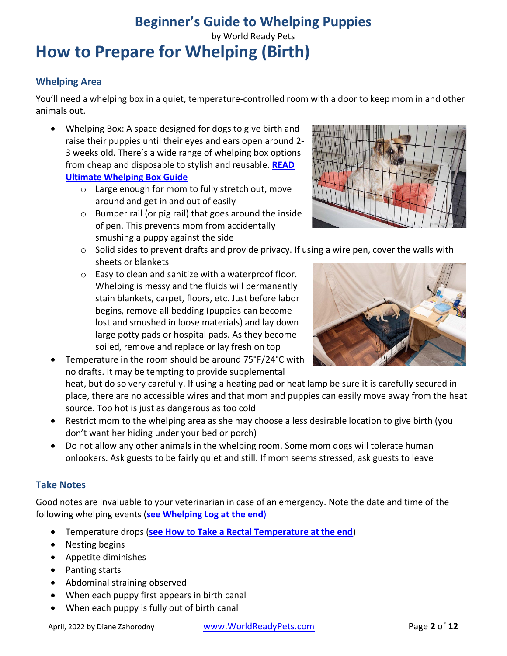### **Beginner's Guide to Whelping Puppies** by World Ready Pets **How to Prepare for Whelping (Birth)**

### <span id="page-1-0"></span>**Whelping Area**

You'll need a whelping box in a quiet, temperature-controlled room with a door to keep mom in and other animals out.

- Whelping Box: A space designed for dogs to give birth and raise their puppies until their eyes and ears open around 2- 3 weeks old. There's a wide range of whelping box options from cheap and disposable to stylish and reusable. **[READ](https://worldreadypets.com/articles/ultimate-whelping-box-guide)  [Ultimate Whelping](https://worldreadypets.com/articles/ultimate-whelping-box-guide) Box Guide**
	- o Large enough for mom to fully stretch out, move around and get in and out of easily
	- o Bumper rail (or pig rail) that goes around the inside of pen. This prevents mom from accidentally smushing a puppy against the side



- $\circ$  Solid sides to prevent drafts and provide privacy. If using a wire pen, cover the walls with sheets or blankets
- o Easy to clean and sanitize with a waterproof floor. Whelping is messy and the fluids will permanently stain blankets, carpet, floors, etc. Just before labor begins, remove all bedding (puppies can become lost and smushed in loose materials) and lay down large potty pads or hospital pads. As they become soiled, remove and replace or lay fresh on top



• Temperature in the room should be around 75°F/24°C with no drafts. It may be tempting to provide supplemental

heat, but do so very carefully. If using a heating pad or heat lamp be sure it is carefully secured in place, there are no accessible wires and that mom and puppies can easily move away from the heat source. Too hot is just as dangerous as too cold

- Restrict mom to the whelping area as she may choose a less desirable location to give birth (you don't want her hiding under your bed or porch)
- Do not allow any other animals in the whelping room. Some mom dogs will tolerate human onlookers. Ask guests to be fairly quiet and still. If mom seems stressed, ask guests to leave

### **Take Notes**

Good notes are invaluable to your veterinarian in case of an emergency. Note the date and time of the following whelping events (**[see Whelping Log at the end](#page-11-0)**)

- Temperature drops (**see [How to Take a Rectal Temperature](#page-10-0) at the end**)
- Nesting begins
- Appetite diminishes
- Panting starts
- Abdominal straining observed
- When each puppy first appears in birth canal
- When each puppy is fully out of birth canal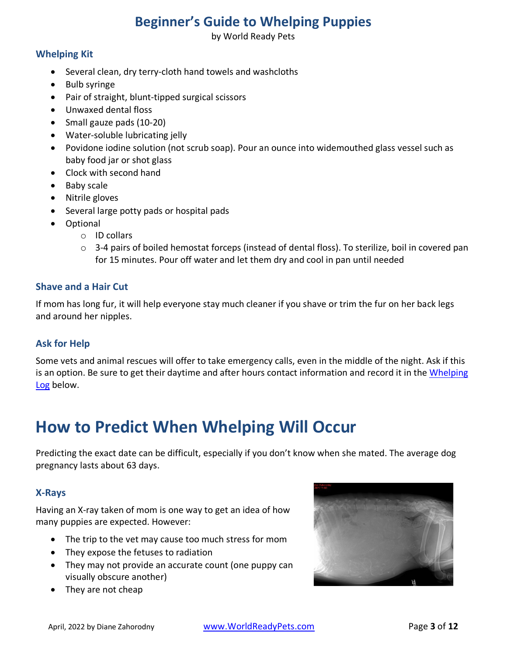by World Ready Pets

### **Whelping Kit**

- Several clean, dry terry-cloth hand towels and washcloths
- Bulb syringe
- Pair of straight, blunt-tipped surgical scissors
- Unwaxed dental floss
- Small gauze pads (10-20)
- Water-soluble lubricating jelly
- Povidone iodine solution (not scrub soap). Pour an ounce into widemouthed glass vessel such as baby food jar or shot glass
- Clock with second hand
- Baby scale
- Nitrile gloves
- Several large potty pads or hospital pads
- Optional
	- o ID collars
	- $\circ$  3-4 pairs of boiled hemostat forceps (instead of dental floss). To sterilize, boil in covered pan for 15 minutes. Pour off water and let them dry and cool in pan until needed

#### **Shave and a Hair Cut**

If mom has long fur, it will help everyone stay much cleaner if you shave or trim the fur on her back legs and around her nipples.

### **Ask for Help**

Some vets and animal rescues will offer to take emergency calls, even in the middle of the night. Ask if this is an option. Be sure to get their daytime and after hours contact information and record it in the Whelping [Log](#page-11-0) below.

## <span id="page-2-0"></span>**How to Predict When Whelping Will Occur**

Predicting the exact date can be difficult, especially if you don't know when she mated. The average dog pregnancy lasts about 63 days.

### **X-Rays**

Having an X-ray taken of mom is one way to get an idea of how many puppies are expected. However:

- The trip to the vet may cause too much stress for mom
- They expose the fetuses to radiation
- They may not provide an accurate count (one puppy can visually obscure another)
- They are not cheap

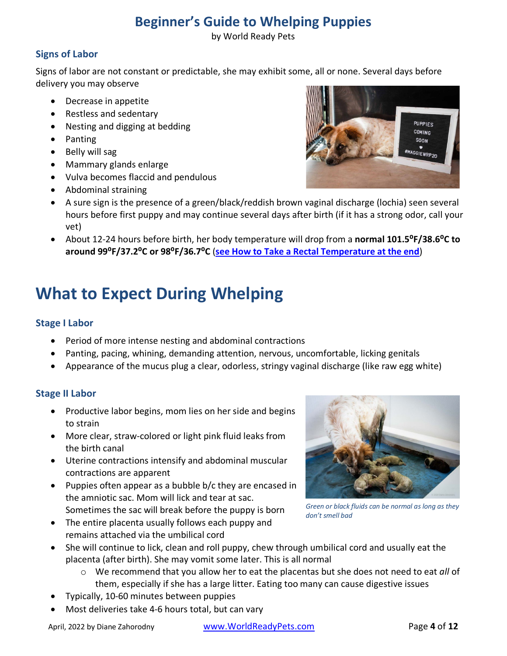by World Ready Pets

### **Signs of Labor**

Signs of labor are not constant or predictable, she may exhibit some, all or none. Several days before delivery you may observe

- Decrease in appetite
- Restless and sedentary
- Nesting and digging at bedding
- Panting
- Belly will sag
- Mammary glands enlarge
- Vulva becomes flaccid and pendulous
- Abdominal straining



- A sure sign is the presence of a green/black/reddish brown vaginal discharge (lochia) seen several hours before first puppy and may continue several days after birth (if it has a strong odor, call your vet)
- About 12-24 hours before birth, her body temperature will drop from a **normal 101.5⁰F/38.6⁰C to around 99⁰F/37.2⁰C or 98⁰F/36.7⁰C** (**see [How to Take a Rectal Temperature at the end](#page-10-0)**)

# <span id="page-3-0"></span>**What to Expect During Whelping**

### **Stage I Labor**

- Period of more intense nesting and abdominal contractions
- Panting, pacing, whining, demanding attention, nervous, uncomfortable, licking genitals
- Appearance of the mucus plug a clear, odorless, stringy vaginal discharge (like raw egg white)

### **Stage II Labor**

- Productive labor begins, mom lies on her side and begins to strain
- More clear, straw-colored or light pink fluid leaks from the birth canal
- Uterine contractions intensify and abdominal muscular contractions are apparent
- Puppies often appear as a bubble b/c they are encased in the amniotic sac. Mom will lick and tear at sac. Sometimes the sac will break before the puppy is born
- The entire placenta usually follows each puppy and remains attached via the umbilical cord



*Green or black fluids can be normal as long as they don't smell bad*

- She will continue to lick, clean and roll puppy, chew through umbilical cord and usually eat the placenta (after birth). She may vomit some later. This is all normal
	- o We recommend that you allow her to eat the placentas but she does not need to eat *all* of them, especially if she has a large litter. Eating too many can cause digestive issues
- Typically, 10-60 minutes between puppies
- Most deliveries take 4-6 hours total, but can vary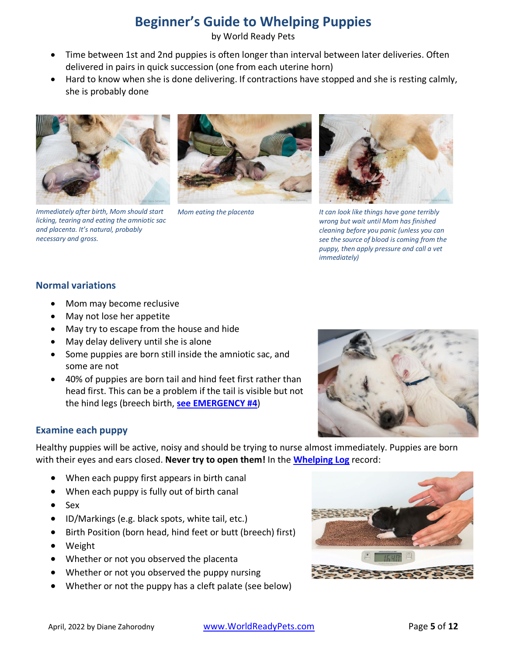by World Ready Pets

- Time between 1st and 2nd puppies is often longer than interval between later deliveries. Often delivered in pairs in quick succession (one from each uterine horn)
- Hard to know when she is done delivering. If contractions have stopped and she is resting calmly, she is probably done



*Immediately after birth, Mom should start licking, tearing and eating the amniotic sac and placenta. It's natural, probably necessary and gross.*





*Mom eating the placenta It can look like things have gone terribly wrong but wait until Mom has finished cleaning before you panic (unless you can see the source of blood is coming from the puppy, then apply pressure and call a vet immediately)*

#### **Normal variations**

- Mom may become reclusive
- May not lose her appetite
- May try to escape from the house and hide
- May delay delivery until she is alone
- Some puppies are born still inside the amniotic sac, and some are not
- 40% of puppies are born tail and hind feet first rather than head first. This can be a problem if the tail is visible but not the hind legs (breech birth, **[see EMERGENCY #4](#page-9-0)**)



### **Examine each puppy**

Healthy puppies will be active, noisy and should be trying to nurse almost immediately. Puppies are born with their eyes and ears closed. **Never try to open them!** In the **[Whelping Log](#page-11-0)** record:

- When each puppy first appears in birth canal
- When each puppy is fully out of birth canal
- Sex
- ID/Markings (e.g. black spots, white tail, etc.)
- Birth Position (born head, hind feet or butt (breech) first)
- Weight
- Whether or not you observed the placenta
- Whether or not you observed the puppy nursing
- Whether or not the puppy has a cleft palate (see below)

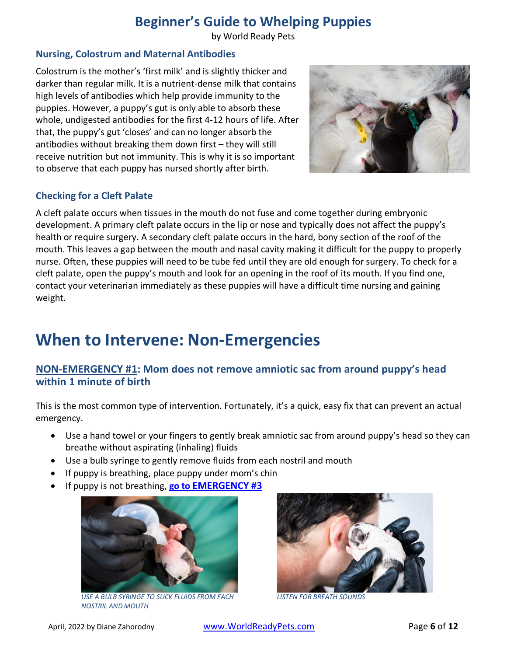by World Ready Pets

### **Nursing, Colostrum and Maternal Antibodies**

Colostrum is the mother's 'first milk' and is slightly thicker and darker than regular milk. It is a nutrient-dense milk that contains high levels of antibodies which help provide immunity to the puppies. However, a puppy's gut is only able to absorb these whole, undigested antibodies for the first 4-12 hours of life. After that, the puppy's gut 'closes' and can no longer absorb the antibodies without breaking them down first – they will still receive nutrition but not immunity. This is why it is so important to observe that each puppy has nursed shortly after birth.



### **Checking for a Cleft Palate**

A cleft palate occurs when tissues in the mouth do not fuse and come together during embryonic development. A primary cleft palate occurs in the lip or nose and typically does not affect the puppy's health or require surgery. A secondary cleft palate occurs in the hard, bony section of the roof of the mouth. This leaves a gap between the mouth and nasal cavity making it difficult for the puppy to properly nurse. Often, these puppies will need to be tube fed until they are old enough for surgery. To check for a cleft palate, open the puppy's mouth and look for an opening in the roof of its mouth. If you find one, contact your veterinarian immediately as these puppies will have a difficult time nursing and gaining weight.

### <span id="page-5-0"></span>**When to Intervene: Non-Emergencies**

### **NON-EMERGENCY #1: Mom does not remove amniotic sac from around puppy's head within 1 minute of birth**

This is the most common type of intervention. Fortunately, it's a quick, easy fix that can prevent an actual emergency.

- Use a hand towel or your fingers to gently break amniotic sac from around puppy's head so they can breathe without aspirating (inhaling) fluids
- Use a bulb syringe to gently remove fluids from each nostril and mouth
- If puppy is breathing, place puppy under mom's chin
- If puppy is not breathing, **go [to EMERGENCY #3](#page-7-1)**



*[USE A BULB SYRINGE TO SUCK FLUIDS FROM EACH](https://worldreadypets.com/articles/beginners-guide-to-whelping-puppies/#non-emergency-1)  NOSTRIL AND MOUTH*



*[LISTEN FOR BREATH SOUNDS](https://worldreadypets.com/articles/beginners-guide-to-whelping-puppies/#non-emergency-1)*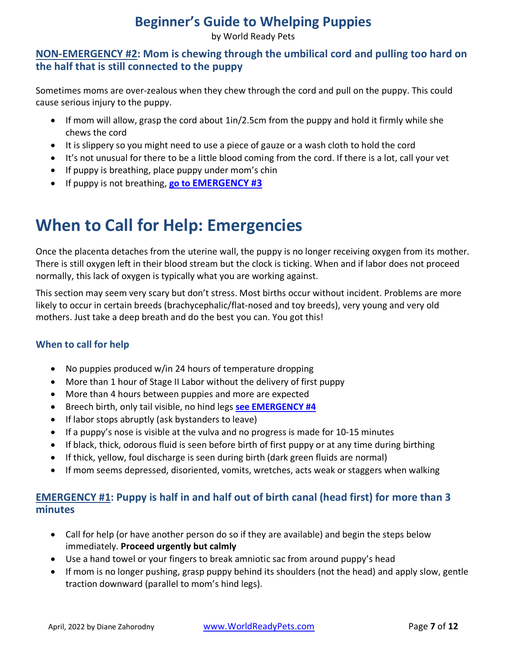by World Ready Pets

### <span id="page-6-0"></span>**NON-EMERGENCY #2: Mom is chewing through the umbilical cord and pulling too hard on the half that is still connected to the puppy**

Sometimes moms are over-zealous when they chew through the cord and pull on the puppy. This could cause serious injury to the puppy.

- If mom will allow, grasp the cord about 1in/2.5cm from the puppy and hold it firmly while she chews the cord
- It is slippery so you might need to use a piece of gauze or a wash cloth to hold the cord
- It's not unusual for there to be a little blood coming from the cord. If there is a lot, call your vet
- If puppy is breathing, place puppy under mom's chin
- If puppy is not breathing, **[go to EMERGENCY #3](#page-7-1)**

# <span id="page-6-1"></span>**When to Call for Help: Emergencies**

Once the placenta detaches from the uterine wall, the puppy is no longer receiving oxygen from its mother. There is still oxygen left in their blood stream but the clock is ticking. When and if labor does not proceed normally, this lack of oxygen is typically what you are working against.

This section may seem very scary but don't stress. Most births occur without incident. Problems are more likely to occur in certain breeds (brachycephalic/flat-nosed and toy breeds), very young and very old mothers. Just take a deep breath and do the best you can. You got this!

### **When to call for help**

- No puppies produced w/in 24 hours of temperature dropping
- More than 1 hour of Stage II Labor without the delivery of first puppy
- More than 4 hours between puppies and more are expected
- Breech birth, only tail visible, no hind legs **see [EMERGENCY #4](#page-9-0)**
- If labor stops abruptly (ask bystanders to leave)
- If a puppy's nose is visible at the vulva and no progress is made for 10-15 minutes
- If black, thick, odorous fluid is seen before birth of first puppy or at any time during birthing
- If thick, yellow, foul discharge is seen during birth (dark green fluids are normal)
- If mom seems depressed, disoriented, vomits, wretches, acts weak or staggers when walking

### <span id="page-6-2"></span>**EMERGENCY #1: Puppy is half in and half out of birth canal (head first) for more than 3 minutes**

- Call for help (or have another person do so if they are available) and begin the steps below immediately. **Proceed urgently but calmly**
- Use a hand towel or your fingers to break amniotic sac from around puppy's head
- If mom is no longer pushing, grasp puppy behind its shoulders (not the head) and apply slow, gentle traction downward (parallel to mom's hind legs).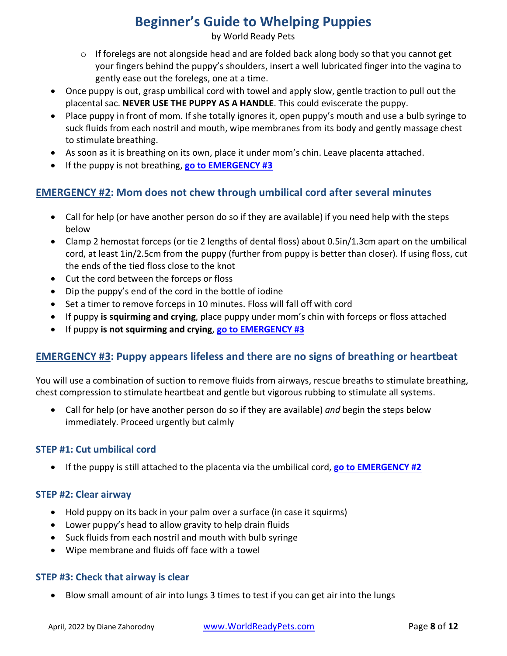by World Ready Pets

- o If forelegs are not alongside head and are folded back along body so that you cannot get your fingers behind the puppy's shoulders, insert a well lubricated finger into the vagina to gently ease out the forelegs, one at a time.
- Once puppy is out, grasp umbilical cord with towel and apply slow, gentle traction to pull out the placental sac. **NEVER USE THE PUPPY AS A HANDLE**. This could eviscerate the puppy.
- Place puppy in front of mom. If she totally ignores it, open puppy's mouth and use a bulb syringe to suck fluids from each nostril and mouth, wipe membranes from its body and gently massage chest to stimulate breathing.
- As soon as it is breathing on its own, place it under mom's chin. Leave placenta attached.
- If the puppy is not breathing, **[go to EMERGENCY #3](#page-7-1)**

### <span id="page-7-0"></span>**EMERGENCY #2: Mom does not chew through umbilical cord after several minutes**

- Call for help (or have another person do so if they are available) if you need help with the steps below
- Clamp 2 hemostat forceps (or tie 2 lengths of dental floss) about 0.5in/1.3cm apart on the umbilical cord, at least 1in/2.5cm from the puppy (further from puppy is better than closer). If using floss, cut the ends of the tied floss close to the knot
- Cut the cord between the forceps or floss
- Dip the puppy's end of the cord in the bottle of iodine
- Set a timer to remove forceps in 10 minutes. Floss will fall off with cord
- If puppy **is squirming and crying**, place puppy under mom's chin with forceps or floss attached
- If puppy **is not squirming and crying**, **[go to EMERGENCY #3](#page-7-1)**

### <span id="page-7-1"></span>**EMERGENCY #3: Puppy appears lifeless and there are no signs of breathing or heartbeat**

You will use a combination of suction to remove fluids from airways, rescue breaths to stimulate breathing, chest compression to stimulate heartbeat and gentle but vigorous rubbing to stimulate all systems.

• Call for help (or have another person do so if they are available) *and* begin the steps below immediately. Proceed urgently but calmly

### **STEP #1: Cut umbilical cord**

• If the puppy is still attached to the placenta via the umbilical cord, **[go to EMERGENCY #2](#page-7-0)**

### **STEP #2: Clear airway**

- Hold puppy on its back in your palm over a surface (in case it squirms)
- Lower puppy's head to allow gravity to help drain fluids
- Suck fluids from each nostril and mouth with bulb syringe
- Wipe membrane and fluids off face with a towel

### **STEP #3: Check that airway is clear**

• Blow small amount of air into lungs 3 times to test if you can get air into the lungs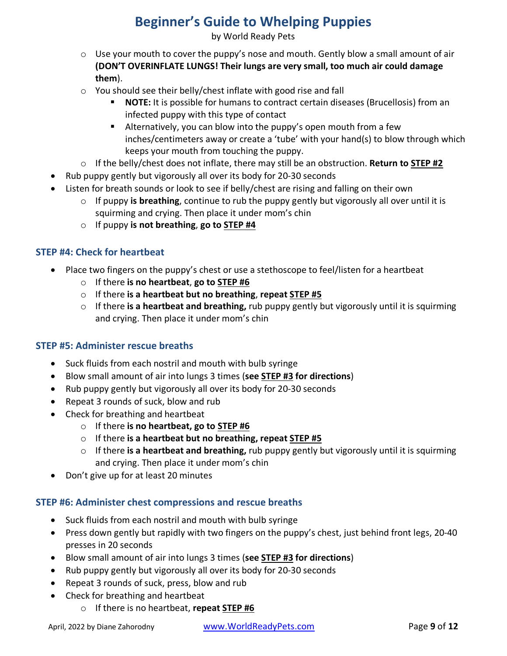by World Ready Pets

- o Use your mouth to cover the puppy's nose and mouth. Gently blow a small amount of air **(DON'T OVERINFLATE LUNGS! Their lungs are very small, too much air could damage them**).
- o You should see their belly/chest inflate with good rise and fall
	- **NOTE:** It is possible for humans to contract certain diseases (Brucellosis) from an infected puppy with this type of contact
	- Alternatively, you can blow into the puppy's open mouth from a few inches/centimeters away or create a 'tube' with your hand(s) to blow through which keeps your mouth from touching the puppy.
- o If the belly/chest does not inflate, there may still be an obstruction. **Return to STEP #2**
- Rub puppy gently but vigorously all over its body for 20-30 seconds
- Listen for breath sounds or look to see if belly/chest are rising and falling on their own
	- $\circ$  If puppy **is breathing**, continue to rub the puppy gently but vigorously all over until it is squirming and crying. Then place it under mom's chin
	- o If puppy **is not breathing**, **go to STEP #4**

### **STEP #4: Check for heartbeat**

- Place two fingers on the puppy's chest or use a stethoscope to feel/listen for a heartbeat
	- o If there **is no heartbeat**, **go to STEP #6**
	- o If there **is a heartbeat but no breathing**, **repeat STEP #5**
	- o If there **is a heartbeat and breathing,** rub puppy gently but vigorously until it is squirming and crying. Then place it under mom's chin

### **STEP #5: Administer rescue breaths**

- Suck fluids from each nostril and mouth with bulb syringe
- Blow small amount of air into lungs 3 times (**see STEP #3 for directions**)
- Rub puppy gently but vigorously all over its body for 20-30 seconds
- Repeat 3 rounds of suck, blow and rub
- Check for breathing and heartbeat
	- o If there **is no heartbeat, go to STEP #6**
	- o If there **is a heartbeat but no breathing, repeat STEP #5**
	- o If there **is a heartbeat and breathing,** rub puppy gently but vigorously until it is squirming and crying. Then place it under mom's chin
- Don't give up for at least 20 minutes

### **STEP #6: Administer chest compressions and rescue breaths**

- Suck fluids from each nostril and mouth with bulb syringe
- Press down gently but rapidly with two fingers on the puppy's chest, just behind front legs, 20-40 presses in 20 seconds
- Blow small amount of air into lungs 3 times (**see STEP #3 for directions**)
- Rub puppy gently but vigorously all over its body for 20-30 seconds
- Repeat 3 rounds of suck, press, blow and rub
- Check for breathing and heartbeat
	- o If there is no heartbeat, **repeat STEP #6**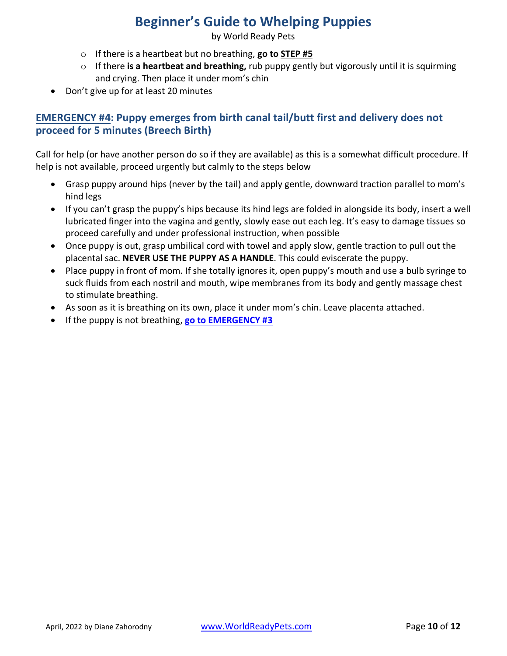by World Ready Pets

- o If there is a heartbeat but no breathing, **go to STEP #5**
- o If there **is a heartbeat and breathing,** rub puppy gently but vigorously until it is squirming and crying. Then place it under mom's chin
- Don't give up for at least 20 minutes

### <span id="page-9-0"></span>**EMERGENCY #4: Puppy emerges from birth canal tail/butt first and delivery does not proceed for 5 minutes (Breech Birth)**

Call for help (or have another person do so if they are available) as this is a somewhat difficult procedure. If help is not available, proceed urgently but calmly to the steps below

- Grasp puppy around hips (never by the tail) and apply gentle, downward traction parallel to mom's hind legs
- If you can't grasp the puppy's hips because its hind legs are folded in alongside its body, insert a well lubricated finger into the vagina and gently, slowly ease out each leg. It's easy to damage tissues so proceed carefully and under professional instruction, when possible
- Once puppy is out, grasp umbilical cord with towel and apply slow, gentle traction to pull out the placental sac. **NEVER USE THE PUPPY AS A HANDLE**. This could eviscerate the puppy.
- Place puppy in front of mom. If she totally ignores it, open puppy's mouth and use a bulb syringe to suck fluids from each nostril and mouth, wipe membranes from its body and gently massage chest to stimulate breathing.
- As soon as it is breathing on its own, place it under mom's chin. Leave placenta attached.
- If the puppy is not breathing, **[go to EMERGENCY #3](#page-7-1)**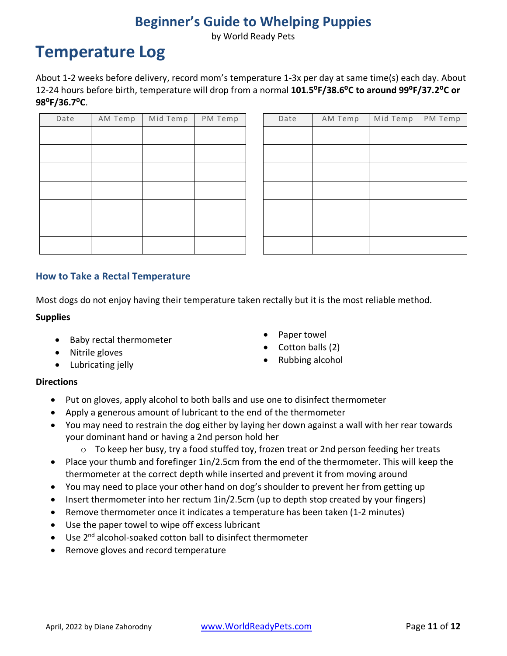by World Ready Pets

## <span id="page-10-0"></span>**Temperature Log**

About 1-2 weeks before delivery, record mom's temperature 1-3x per day at same time(s) each day. About 12-24 hours before birth, temperature will drop from a normal **101.5⁰F/38.6⁰C to around 99⁰F/37.2⁰C or 98⁰F/36.7⁰C**.

| Date | AM Temp | Mid Temp | PM Temp |
|------|---------|----------|---------|
|      |         |          |         |
|      |         |          |         |
|      |         |          |         |
|      |         |          |         |
|      |         |          |         |
|      |         |          |         |
|      |         |          |         |

| Date | AM Temp | Mid Temp | PM Temp | Date | AM Temp | Mid Temp | PM Temp |
|------|---------|----------|---------|------|---------|----------|---------|
|      |         |          |         |      |         |          |         |
|      |         |          |         |      |         |          |         |
|      |         |          |         |      |         |          |         |
|      |         |          |         |      |         |          |         |
|      |         |          |         |      |         |          |         |
|      |         |          |         |      |         |          |         |
|      |         |          |         |      |         |          |         |

#### **How to Take a Rectal Temperature**

Most dogs do not enjoy having their temperature taken rectally but it is the most reliable method.

#### **Supplies**

- Baby rectal thermometer
- Nitrile gloves
- Lubricating jelly
- Paper towel
- Cotton balls (2)
- Rubbing alcohol

#### **Directions**

- Put on gloves, apply alcohol to both balls and use one to disinfect thermometer
- Apply a generous amount of lubricant to the end of the thermometer
- You may need to restrain the dog either by laying her down against a wall with her rear towards your dominant hand or having a 2nd person hold her
	- $\circ$  To keep her busy, try a food stuffed toy, frozen treat or 2nd person feeding her treats
- Place your thumb and forefinger 1in/2.5cm from the end of the thermometer. This will keep the thermometer at the correct depth while inserted and prevent it from moving around
- You may need to place your other hand on dog's shoulder to prevent her from getting up
- Insert thermometer into her rectum 1in/2.5cm (up to depth stop created by your fingers)
- Remove thermometer once it indicates a temperature has been taken (1-2 minutes)
- Use the paper towel to wipe off excess lubricant
- Use 2<sup>nd</sup> alcohol-soaked cotton ball to disinfect thermometer
- Remove gloves and record temperature